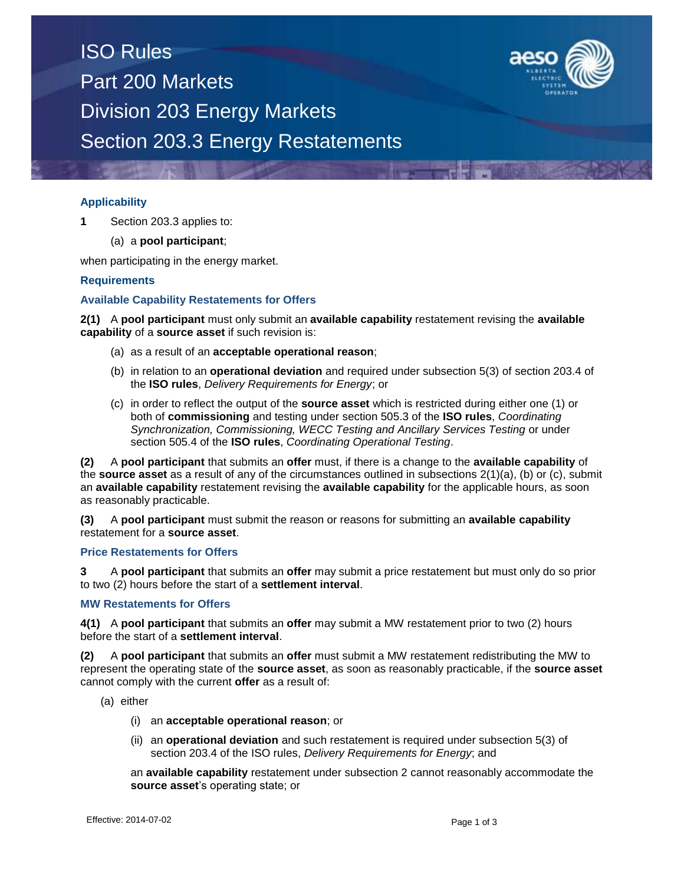# ISO Rules Part 200 Markets Division 203 Energy Markets Section 203.3 Energy Restatements



# **Applicability**

**1** Section 203.3 applies to:

(a) a **pool participant**;

when participating in the energy market.

## **Requirements**

## **Available Capability Restatements for Offers**

**2(1)** A **pool participant** must only submit an **available capability** restatement revising the **available capability** of a **source asset** if such revision is:

- (a) as a result of an **acceptable operational reason**;
- (b) in relation to an **operational deviation** and required under subsection 5(3) of section 203.4 of the **ISO rules**, *Delivery Requirements for Energy*; or
- (c) in order to reflect the output of the **source asset** which is restricted during either one (1) or both of **commissioning** and testing under section 505.3 of the **ISO rules**, *Coordinating Synchronization, Commissioning, WECC Testing and Ancillary Services Testing* or under section 505.4 of the **ISO rules**, *Coordinating Operational Testing*.

**(2)** A **pool participant** that submits an **offer** must, if there is a change to the **available capability** of the **source asset** as a result of any of the circumstances outlined in subsections 2(1)(a), (b) or (c), submit an **available capability** restatement revising the **available capability** for the applicable hours, as soon as reasonably practicable.

**(3)** A **pool participant** must submit the reason or reasons for submitting an **available capability** restatement for a **source asset**.

### **Price Restatements for Offers**

**3** A **pool participant** that submits an **offer** may submit a price restatement but must only do so prior to two (2) hours before the start of a **settlement interval**.

#### **MW Restatements for Offers**

**4(1)** A **pool participant** that submits an **offer** may submit a MW restatement prior to two (2) hours before the start of a **settlement interval**.

**(2)** A **pool participant** that submits an **offer** must submit a MW restatement redistributing the MW to represent the operating state of the **source asset**, as soon as reasonably practicable, if the **source asset**  cannot comply with the current **offer** as a result of:

(a) either

- (i) an **acceptable operational reason**; or
- (ii) an **operational deviation** and such restatement is required under subsection 5(3) of section 203.4 of the ISO rules, *Delivery Requirements for Energy*; and

an **available capability** restatement under subsection 2 cannot reasonably accommodate the **source asset**'s operating state; or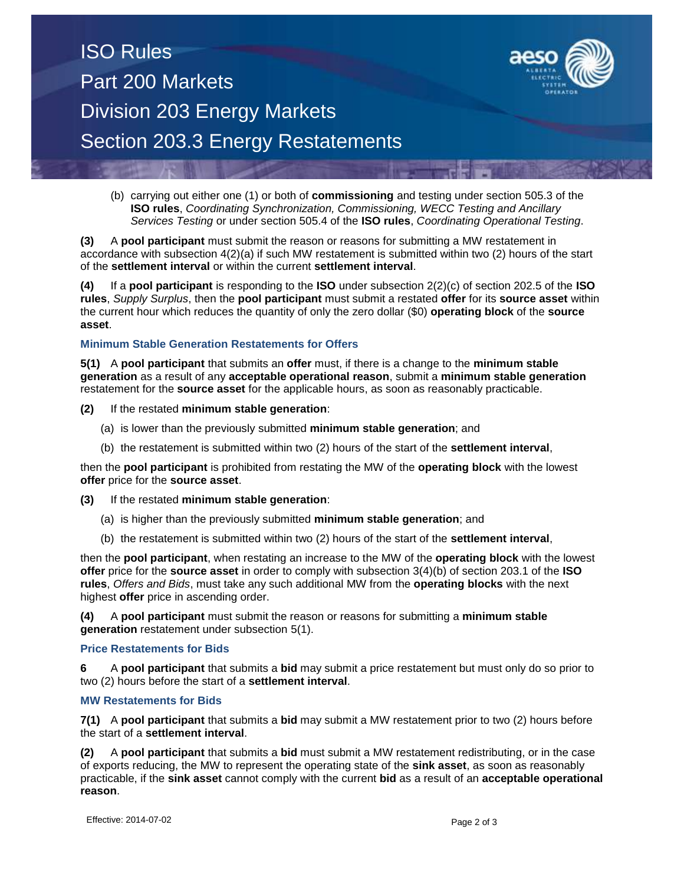

(b) carrying out either one (1) or both of **commissioning** and testing under section 505.3 of the **ISO rules**, *Coordinating Synchronization, Commissioning, WECC Testing and Ancillary Services Testing* or under section 505.4 of the **ISO rules**, *Coordinating Operational Testing*.

**(3)** A **pool participant** must submit the reason or reasons for submitting a MW restatement in accordance with subsection 4(2)(a) if such MW restatement is submitted within two (2) hours of the start of the **settlement interval** or within the current **settlement interval**.

**(4)** If a **pool participant** is responding to the **ISO** under subsection 2(2)(c) of section 202.5 of the **ISO rules**, *Supply Surplus*, then the **pool participant** must submit a restated **offer** for its **source asset** within the current hour which reduces the quantity of only the zero dollar (\$0) **operating block** of the **source asset**.

# **Minimum Stable Generation Restatements for Offers**

**5(1)** A **pool participant** that submits an **offer** must, if there is a change to the **minimum stable generation** as a result of any **acceptable operational reason**, submit a **minimum stable generation** restatement for the **source asset** for the applicable hours, as soon as reasonably practicable.

**(2)** If the restated **minimum stable generation**:

- (a) is lower than the previously submitted **minimum stable generation**; and
- (b) the restatement is submitted within two (2) hours of the start of the **settlement interval**,

then the **pool participant** is prohibited from restating the MW of the **operating block** with the lowest **offer** price for the **source asset**.

#### **(3)** If the restated **minimum stable generation**:

- (a) is higher than the previously submitted **minimum stable generation**; and
- (b) the restatement is submitted within two (2) hours of the start of the **settlement interval**,

then the **pool participant**, when restating an increase to the MW of the **operating block** with the lowest **offer** price for the **source asset** in order to comply with subsection 3(4)(b) of section 203.1 of the **ISO rules**, *Offers and Bids*, must take any such additional MW from the **operating blocks** with the next highest **offer** price in ascending order.

**(4)** A **pool participant** must submit the reason or reasons for submitting a **minimum stable generation** restatement under subsection 5(1).

#### **Price Restatements for Bids**

**6** A **pool participant** that submits a **bid** may submit a price restatement but must only do so prior to two (2) hours before the start of a **settlement interval**.

# **MW Restatements for Bids**

**7(1)** A **pool participant** that submits a **bid** may submit a MW restatement prior to two (2) hours before the start of a **settlement interval**.

**(2)** A **pool participant** that submits a **bid** must submit a MW restatement redistributing, or in the case of exports reducing, the MW to represent the operating state of the **sink asset**, as soon as reasonably practicable, if the **sink asset** cannot comply with the current **bid** as a result of an **acceptable operational reason**.